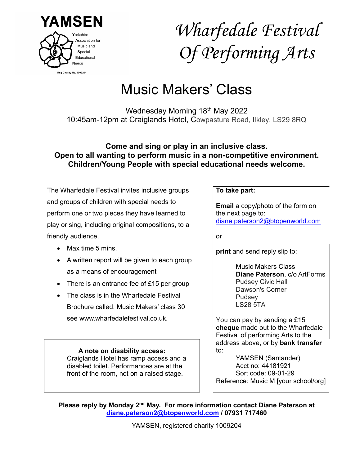

# Wharfedale Festival Of Performing Arts

## Music Makers' Class

Wednesday Morning 18th May 2022 10:45am-12pm at Craiglands Hotel, Cowpasture Road, Ilkley, LS29 8RQ

#### Come and sing or play in an inclusive class. Open to all wanting to perform music in a non-competitive environment. Children/Young People with special educational needs welcome.

The Wharfedale Festival invites inclusive groups and groups of children with special needs to perform one or two pieces they have learned to play or sing, including original compositions, to a friendly audience.

- $Max time 5 mins$
- A written report will be given to each group as a means of encouragement
- There is an entrance fee of £15 per group
- The class is in the Wharfedale Festival Brochure called: Music Makers' class 30 see www.wharfedalefestival.co.uk.

A note on disability access: Craiglands Hotel has ramp access and a disabled toilet. Performances are at the front of the room, not on a raised stage.

#### To take part:

Email a copy/photo of the form on the next page to: diane.paterson2@btopenworld.com

or

print and send reply slip to:

Music Makers Class Diane Paterson, c/o ArtForms Pudsey Civic Hall Dawson's Corner Pudsey LS28 5TA

You can pay by sending a £15 cheque made out to the Wharfedale Festival of performing Arts to the address above, or by bank transfer to:

YAMSEN (Santander) Acct no: 44181921 Sort code: 09-01-29 Reference: Music M [your school/org]

Please reply by Monday 2<sup>nd</sup> May. For more information contact Diane Paterson at diane.paterson2@btopenworld.com / 07931 717460

YAMSEN, registered charity 1009204